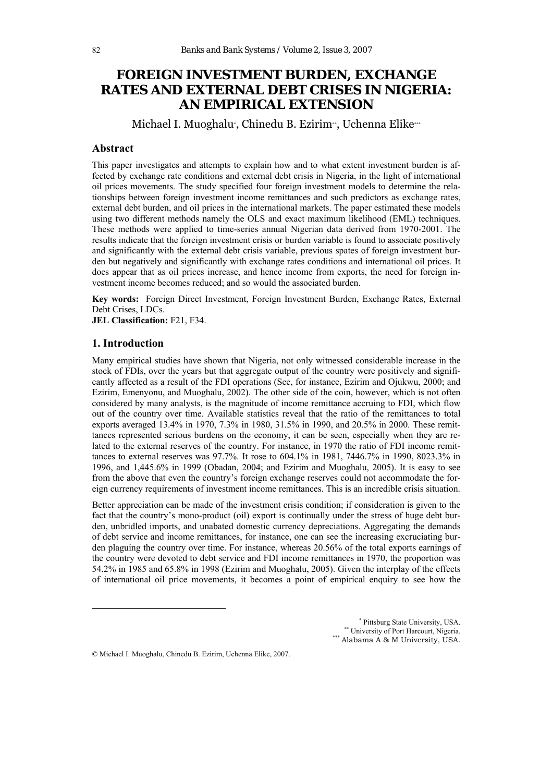# **FOREIGN INVESTMENT BURDEN, EXCHANGE RATES AND EXTERNAL DEBT CRISES IN NIGERIA: AN EMPIRICAL EXTENSION**

Michael I. Muoghalu<sup>\*</sup>, Chinedu B. Ezirim<sup>\*\*</sup>, Uchenna Elike\*\*\*

## **Abstract**

This paper investigates and attempts to explain how and to what extent investment burden is affected by exchange rate conditions and external debt crisis in Nigeria, in the light of international oil prices movements. The study specified four foreign investment models to determine the relationships between foreign investment income remittances and such predictors as exchange rates, external debt burden, and oil prices in the international markets. The paper estimated these models using two different methods namely the OLS and exact maximum likelihood (EML) techniques. These methods were applied to time-series annual Nigerian data derived from 1970-2001. The results indicate that the foreign investment crisis or burden variable is found to associate positively and significantly with the external debt crisis variable, previous spates of foreign investment burden but negatively and significantly with exchange rates conditions and international oil prices. It does appear that as oil prices increase, and hence income from exports, the need for foreign investment income becomes reduced; and so would the associated burden.

**Key words:** Foreign Direct Investment, Foreign Investment Burden, Exchange Rates, External Debt Crises, LDCs.

**JEL Classification:** F21, F34.

### **1. Introduction**

 $\overline{a}$ 

Many empirical studies have shown that Nigeria, not only witnessed considerable increase in the stock of FDIs, over the years but that aggregate output of the country were positively and significantly affected as a result of the FDI operations (See, for instance, Ezirim and Ojukwu, 2000; and Ezirim, Emenyonu, and Muoghalu, 2002). The other side of the coin, however, which is not often considered by many analysts, is the magnitude of income remittance accruing to FDI, which flow out of the country over time. Available statistics reveal that the ratio of the remittances to total exports averaged 13.4% in 1970, 7.3% in 1980, 31.5% in 1990, and 20.5% in 2000. These remittances represented serious burdens on the economy, it can be seen, especially when they are related to the external reserves of the country. For instance, in 1970 the ratio of FDI income remittances to external reserves was 97.7%. It rose to 604.1% in 1981, 7446.7% in 1990, 8023.3% in 1996, and 1,445.6% in 1999 (Obadan, 2004; and Ezirim and Muoghalu, 2005). It is easy to see from the above that even the country's foreign exchange reserves could not accommodate the foreign currency requirements of investment income remittances. This is an incredible crisis situation.

Better appreciation can be made of the investment crisis condition; if consideration is given to the fact that the country's mono-product (oil) export is continually under the stress of huge debt burden, unbridled imports, and unabated domestic currency depreciations. Aggregating the demands of debt service and income remittances, for instance, one can see the increasing excruciating burden plaguing the country over time. For instance, whereas 20.56% of the total exports earnings of the country were devoted to debt service and FDI income remittances in 1970, the proportion was 54.2% in 1985 and 65.8% in 1998 (Ezirim and Muoghalu, 2005). Given the interplay of the effects of international oil price movements, it becomes a point of empirical enquiry to see how the

> \* Pittsburg State University, USA. \*\* University of Port Harcourt, Nigeria.<br>\*\*\* Alabama A & M University, USA.

© Michael I. Muoghalu, Chinedu B. Ezirim, Uchenna Elike, 2007.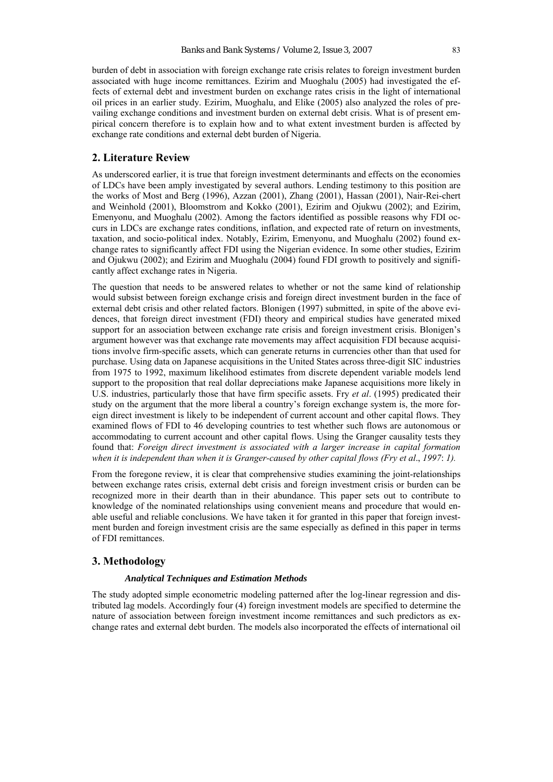burden of debt in association with foreign exchange rate crisis relates to foreign investment burden associated with huge income remittances. Ezirim and Muoghalu (2005) had investigated the effects of external debt and investment burden on exchange rates crisis in the light of international oil prices in an earlier study. Ezirim, Muoghalu, and Elike (2005) also analyzed the roles of prevailing exchange conditions and investment burden on external debt crisis. What is of present empirical concern therefore is to explain how and to what extent investment burden is affected by exchange rate conditions and external debt burden of Nigeria.

## **2. Literature Review**

As underscored earlier, it is true that foreign investment determinants and effects on the economies of LDCs have been amply investigated by several authors. Lending testimony to this position are the works of Most and Berg (1996), Azzan (2001), Zhang (2001), Hassan (2001), Nair-Rei-chert and Weinhold (2001), Bloomstrom and Kokko (2001), Ezirim and Ojukwu (2002); and Ezirim, Emenyonu, and Muoghalu (2002). Among the factors identified as possible reasons why FDI occurs in LDCs are exchange rates conditions, inflation, and expected rate of return on investments, taxation, and socio-political index. Notably, Ezirim, Emenyonu, and Muoghalu (2002) found exchange rates to significantly affect FDI using the Nigerian evidence. In some other studies, Ezirim and Ojukwu (2002); and Ezirim and Muoghalu (2004) found FDI growth to positively and significantly affect exchange rates in Nigeria.

The question that needs to be answered relates to whether or not the same kind of relationship would subsist between foreign exchange crisis and foreign direct investment burden in the face of external debt crisis and other related factors. Blonigen (1997) submitted, in spite of the above evidences, that foreign direct investment (FDI) theory and empirical studies have generated mixed support for an association between exchange rate crisis and foreign investment crisis. Blonigen's argument however was that exchange rate movements may affect acquisition FDI because acquisitions involve firm-specific assets, which can generate returns in currencies other than that used for purchase. Using data on Japanese acquisitions in the United States across three-digit SIC industries from 1975 to 1992, maximum likelihood estimates from discrete dependent variable models lend support to the proposition that real dollar depreciations make Japanese acquisitions more likely in U.S. industries, particularly those that have firm specific assets. Fry *et al*. (1995) predicated their study on the argument that the more liberal a country's foreign exchange system is, the more foreign direct investment is likely to be independent of current account and other capital flows. They examined flows of FDI to 46 developing countries to test whether such flows are autonomous or accommodating to current account and other capital flows. Using the Granger causality tests they found that: *Foreign direct investment is associated with a larger increase in capital formation when it is independent than when it is Granger-caused by other capital flows (Fry et al*., *1997*: *1).*

From the foregone review, it is clear that comprehensive studies examining the joint-relationships between exchange rates crisis, external debt crisis and foreign investment crisis or burden can be recognized more in their dearth than in their abundance. This paper sets out to contribute to knowledge of the nominated relationships using convenient means and procedure that would enable useful and reliable conclusions. We have taken it for granted in this paper that foreign investment burden and foreign investment crisis are the same especially as defined in this paper in terms of FDI remittances.

#### **3. Methodology**

#### *Analytical Techniques and Estimation Methods*

The study adopted simple econometric modeling patterned after the log-linear regression and distributed lag models. Accordingly four (4) foreign investment models are specified to determine the nature of association between foreign investment income remittances and such predictors as exchange rates and external debt burden. The models also incorporated the effects of international oil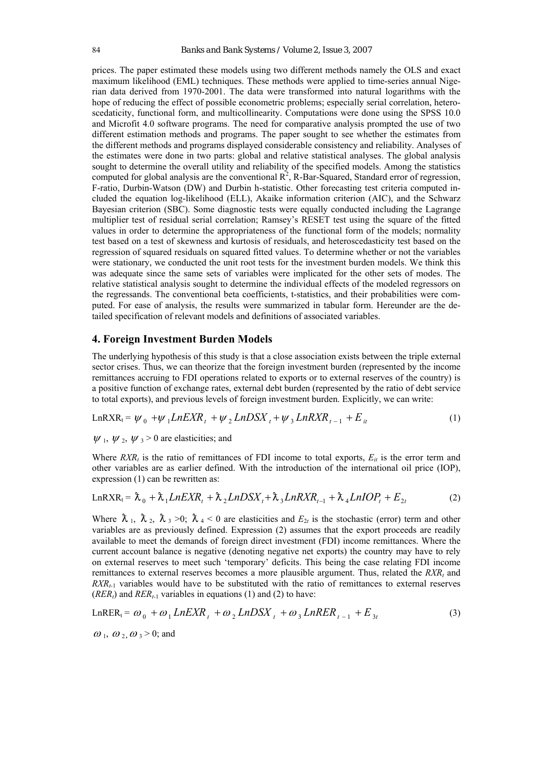prices. The paper estimated these models using two different methods namely the OLS and exact maximum likelihood (EML) techniques. These methods were applied to time-series annual Nigerian data derived from 1970-2001. The data were transformed into natural logarithms with the hope of reducing the effect of possible econometric problems; especially serial correlation, heteroscedaticity, functional form, and multicollinearity. Computations were done using the SPSS 10.0 and Microfit 4.0 software programs. The need for comparative analysis prompted the use of two different estimation methods and programs. The paper sought to see whether the estimates from the different methods and programs displayed considerable consistency and reliability. Analyses of the estimates were done in two parts: global and relative statistical analyses. The global analysis sought to determine the overall utility and reliability of the specified models. Among the statistics computed for global analysis are the conventional  $\mathbb{R}^2$ , R-Bar-Squared, Standard error of regression, F-ratio, Durbin-Watson (DW) and Durbin h-statistic. Other forecasting test criteria computed included the equation log-likelihood (ELL), Akaike information criterion (AIC), and the Schwarz Bayesian criterion (SBC). Some diagnostic tests were equally conducted including the Lagrange multiplier test of residual serial correlation; Ramsey's RESET test using the square of the fitted values in order to determine the appropriateness of the functional form of the models; normality test based on a test of skewness and kurtosis of residuals, and heteroscedasticity test based on the regression of squared residuals on squared fitted values. To determine whether or not the variables were stationary, we conducted the unit root tests for the investment burden models. We think this was adequate since the same sets of variables were implicated for the other sets of modes. The relative statistical analysis sought to determine the individual effects of the modeled regressors on the regressands. The conventional beta coefficients, t-statistics, and their probabilities were computed. For ease of analysis, the results were summarized in tabular form. Hereunder are the detailed specification of relevant models and definitions of associated variables.

#### **4. Foreign Investment Burden Models**

The underlying hypothesis of this study is that a close association exists between the triple external sector crises. Thus, we can theorize that the foreign investment burden (represented by the income remittances accruing to FDI operations related to exports or to external reserves of the country) is a positive function of exchange rates, external debt burden (represented by the ratio of debt service to total exports), and previous levels of foreign investment burden. Explicitly, we can write:

$$
LnRXR_{t} = \psi_{0} + \psi_{1}LnEXR_{t} + \psi_{2}LnDSX_{t} + \psi_{3}LnRXR_{t-1} + E_{it}
$$
 (1)

 $\psi_1$ ,  $\psi_2$ ,  $\psi_3 > 0$  are elasticities; and

Where  $RXR_t$  is the ratio of remittances of FDI income to total exports,  $E_{it}$  is the error term and other variables are as earlier defined. With the introduction of the international oil price (IOP), expression (1) can be rewritten as:

$$
LnRXR_t = \lambda_0 + \lambda_1 LnEXR_t + \lambda_2 LnDSX_t + \lambda_3 LnRXR_{t-1} + \lambda_4 LnIOP_t + E_{2t}
$$
 (2)

Where  $\lambda_1$ ,  $\lambda_2$ ,  $\lambda_3$  >0;  $\lambda_4$  < 0 are elasticities and  $E_{2t}$  is the stochastic (error) term and other variables are as previously defined. Expression (2) assumes that the export proceeds are readily available to meet the demands of foreign direct investment (FDI) income remittances. Where the current account balance is negative (denoting negative net exports) the country may have to rely on external reserves to meet such 'temporary' deficits. This being the case relating FDI income remittances to external reserves becomes a more plausible argument. Thus, related the *RXR<sub>t</sub>* and *RXRt-*1 variables would have to be substituted with the ratio of remittances to external reserves  $(RER<sub>t</sub>)$  and  $RER<sub>t-1</sub>$  variables in equations (1) and (2) to have:

$$
LnRER_t = \omega_0 + \omega_1 LnEXR_t + \omega_2 LnDSX_t + \omega_3 LnRER_{t-1} + E_{3t}
$$
 (3)

 $\omega_1$ ,  $\omega_2$ ,  $\omega_3$  > 0; and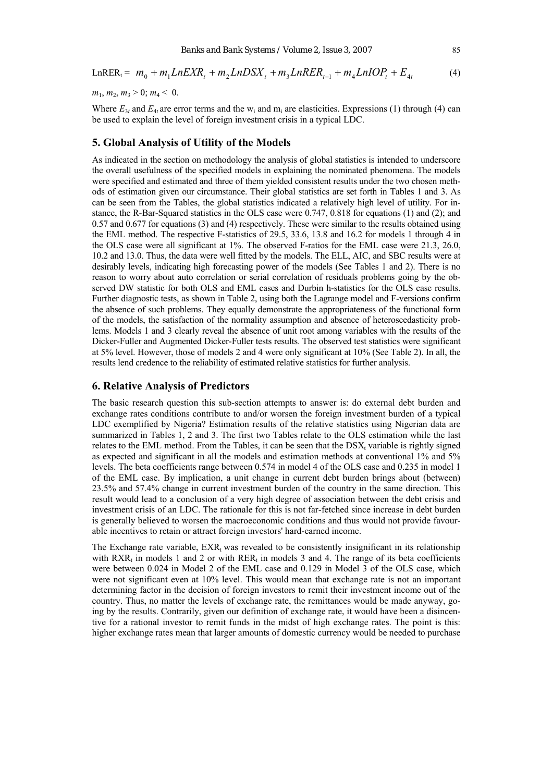$$
LnRER_t = m_0 + m_1LnEXR_t + m_2LnDSX_t + m_3LnRER_{t-1} + m_4LnIOP_t + E_{4t}
$$
 (4)

 $m_1, m_2, m_3 > 0$ ;  $m_4 < 0$ .

Where  $E_3$  and  $E_4$  are error terms and the w<sub>i</sub> and m<sub>i</sub> are elasticities. Expressions (1) through (4) can be used to explain the level of foreign investment crisis in a typical LDC.

## **5. Global Analysis of Utility of the Models**

As indicated in the section on methodology the analysis of global statistics is intended to underscore the overall usefulness of the specified models in explaining the nominated phenomena. The models were specified and estimated and three of them yielded consistent results under the two chosen methods of estimation given our circumstance. Their global statistics are set forth in Tables 1 and 3. As can be seen from the Tables, the global statistics indicated a relatively high level of utility. For instance, the R-Bar-Squared statistics in the OLS case were 0.747, 0.818 for equations (1) and (2); and 0.57 and 0.677 for equations (3) and (4) respectively. These were similar to the results obtained using the EML method. The respective F-statistics of 29.5, 33.6, 13.8 and 16.2 for models 1 through 4 in the OLS case were all significant at 1%. The observed F-ratios for the EML case were 21.3, 26.0, 10.2 and 13.0. Thus, the data were well fitted by the models. The ELL, AIC, and SBC results were at desirably levels, indicating high forecasting power of the models (See Tables 1 and 2). There is no reason to worry about auto correlation or serial correlation of residuals problems going by the observed DW statistic for both OLS and EML cases and Durbin h-statistics for the OLS case results. Further diagnostic tests, as shown in Table 2, using both the Lagrange model and F-versions confirm the absence of such problems. They equally demonstrate the appropriateness of the functional form of the models, the satisfaction of the normality assumption and absence of heteroscedasticity problems. Models 1 and 3 clearly reveal the absence of unit root among variables with the results of the Dicker-Fuller and Augmented Dicker-Fuller tests results. The observed test statistics were significant at 5% level. However, those of models 2 and 4 were only significant at 10% (See Table 2). In all, the results lend credence to the reliability of estimated relative statistics for further analysis.

#### **6. Relative Analysis of Predictors**

The basic research question this sub-section attempts to answer is: do external debt burden and exchange rates conditions contribute to and/or worsen the foreign investment burden of a typical LDC exemplified by Nigeria? Estimation results of the relative statistics using Nigerian data are summarized in Tables 1, 2 and 3. The first two Tables relate to the OLS estimation while the last relates to the EML method. From the Tables, it can be seen that the  $DSX_t$  variable is rightly signed as expected and significant in all the models and estimation methods at conventional 1% and 5% levels. The beta coefficients range between 0.574 in model 4 of the OLS case and 0.235 in model 1 of the EML case. By implication, a unit change in current debt burden brings about (between) 23.5% and 57.4% change in current investment burden of the country in the same direction. This result would lead to a conclusion of a very high degree of association between the debt crisis and investment crisis of an LDC. The rationale for this is not far-fetched since increase in debt burden is generally believed to worsen the macroeconomic conditions and thus would not provide favourable incentives to retain or attract foreign investors' hard-earned income.

The Exchange rate variable, EXR, was revealed to be consistently insignificant in its relationship with RXR, in models 1 and 2 or with RER, in models 3 and 4. The range of its beta coefficients were between 0.024 in Model 2 of the EML case and 0.129 in Model 3 of the OLS case, which were not significant even at 10% level. This would mean that exchange rate is not an important determining factor in the decision of foreign investors to remit their investment income out of the country. Thus, no matter the levels of exchange rate, the remittances would be made anyway, going by the results. Contrarily, given our definition of exchange rate, it would have been a disincentive for a rational investor to remit funds in the midst of high exchange rates. The point is this: higher exchange rates mean that larger amounts of domestic currency would be needed to purchase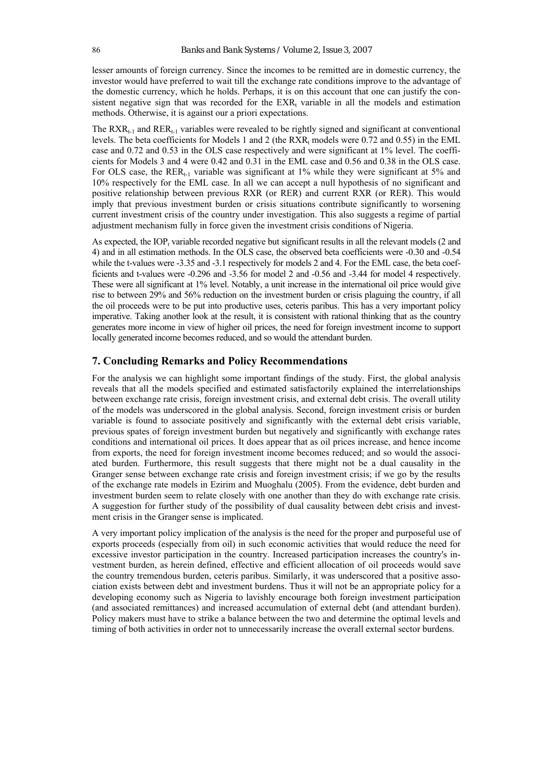lesser amounts of foreign currency. Since the incomes to be remitted are in domestic currency, the investor would have preferred to wait till the exchange rate conditions improve to the advantage of the domestic currency, which he holds. Perhaps, it is on this account that one can justify the consistent negative sign that was recorded for the  $EXR_t$  variable in all the models and estimation methods. Otherwise, it is against our a priori expectations.

The  $RXR_{t-1}$  and  $RER_{t-1}$  variables were revealed to be rightly signed and significant at conventional levels. The beta coefficients for Models 1 and 2 (the RXR, models were  $0.72$  and  $0.55$ ) in the EML case and 0.72 and 0.53 in the OLS case respectively and were significant at 1% level. The coefficients for Models 3 and 4 were 0.42 and 0.31 in the EML case and 0.56 and 0.38 in the OLS case. For OLS case, the  $RER_{t-1}$  variable was significant at 1% while they were significant at 5% and 10% respectively for the EML case. In all we can accept a null hypothesis of no significant and positive relationship between previous RXR (or RER) and current RXR (or RER). This would imply that previous investment burden or crisis situations contribute significantly to worsening current investment crisis of the country under investigation. This also suggests a regime of partial adjustment mechanism fully in force given the investment crisis conditions of Nigeria.

As expected, the IOP<sub>t</sub> variable recorded negative but significant results in all the relevant models  $(2 \text{ and } 1)$ 4) and in all estimation methods. In the OLS case, the observed beta coefficients were -0.30 and -0.54 while the t-values were -3.35 and -3.1 respectively for models 2 and 4. For the EML case, the beta coefficients and t-values were -0.296 and -3.56 for model 2 and -0.56 and -3.44 for model 4 respectively. These were all significant at 1% level. Notably, a unit increase in the international oil price would give rise to between 29% and 56% reduction on the investment burden or crisis plaguing the country, if all the oil proceeds were to be put into productive uses, ceteris paribus. This has a very important policy imperative. Taking another look at the result, it is consistent with rational thinking that as the country generates more income in view of higher oil prices, the need for foreign investment income to support locally generated income becomes reduced, and so would the attendant burden.

## **7. Concluding Remarks and Policy Recommendations**

For the analysis we can highlight some important findings of the study. First, the global analysis reveals that all the models specified and estimated satisfactorily explained the interrelationships between exchange rate crisis, foreign investment crisis, and external debt crisis. The overall utility of the models was underscored in the global analysis. Second, foreign investment crisis or burden variable is found to associate positively and significantly with the external debt crisis variable, previous spates of foreign investment burden but negatively and significantly with exchange rates conditions and international oil prices. It does appear that as oil prices increase, and hence income from exports, the need for foreign investment income becomes reduced; and so would the associated burden. Furthermore, this result suggests that there might not be a dual causality in the Granger sense between exchange rate crisis and foreign investment crisis; if we go by the results of the exchange rate models in Ezirim and Muoghalu (2005). From the evidence, debt burden and investment burden seem to relate closely with one another than they do with exchange rate crisis. A suggestion for further study of the possibility of dual causality between debt crisis and investment crisis in the Granger sense is implicated.

A very important policy implication of the analysis is the need for the proper and purposeful use of exports proceeds (especially from oil) in such economic activities that would reduce the need for excessive investor participation in the country. Increased participation increases the country's investment burden, as herein defined, effective and efficient allocation of oil proceeds would save the country tremendous burden, ceteris paribus. Similarly, it was underscored that a positive association exists between debt and investment burdens. Thus it will not be an appropriate policy for a developing economy such as Nigeria to lavishly encourage both foreign investment participation (and associated remittances) and increased accumulation of external debt (and attendant burden). Policy makers must have to strike a balance between the two and determine the optimal levels and timing of both activities in order not to unnecessarily increase the overall external sector burdens.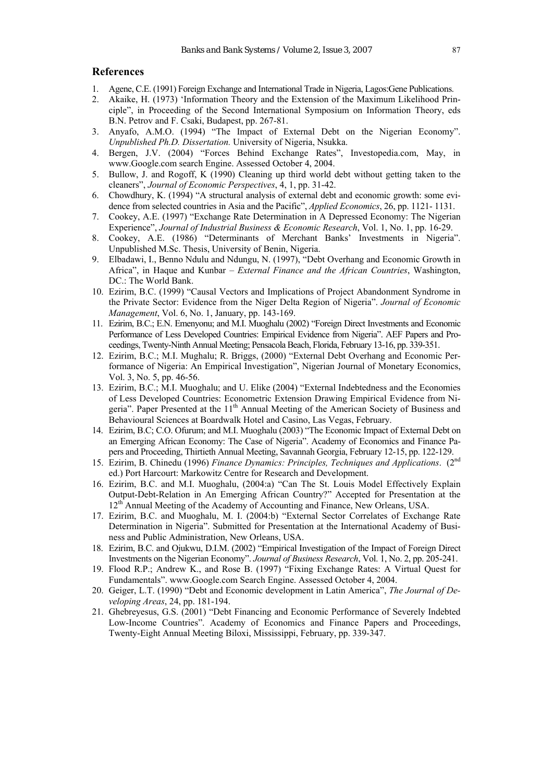#### **References**

- 1. Agene, C.E. (1991) Foreign Exchange and International Trade in Nigeria, Lagos:Gene Publications.
- 2. Akaike, H. (1973) 'Information Theory and the Extension of the Maximum Likelihood Principle", in Proceeding of the Second International Symposium on Information Theory, eds B.N. Petrov and F. Csaki, Budapest, pp. 267-81.
- 3. Anyafo, A.M.O. (1994) "The Impact of External Debt on the Nigerian Economy". *Unpublished Ph.D. Dissertation.* University of Nigeria, Nsukka.
- 4. Bergen, J.V. (2004) "Forces Behind Exchange Rates", Investopedia.com, May, in www.Google.com search Engine. Assessed October 4, 2004.
- 5. Bullow, J. and Rogoff, K (1990) Cleaning up third world debt without getting taken to the cleaners", *Journal of Economic Perspectives*, 4, 1, pp. 31-42.
- 6. Chowdhury, K. (1994) "A structural analysis of external debt and economic growth: some evidence from selected countries in Asia and the Pacific", *Applied Economics*, 26, pp. 1121- 1131.
- 7. Cookey, A.E. (1997) "Exchange Rate Determination in A Depressed Economy: The Nigerian Experience", *Journal of Industrial Business & Economic Research*, Vol. 1, No. 1, pp. 16-29.
- 8. Cookey, A.E. (1986) "Determinants of Merchant Banks' Investments in Nigeria". Unpublished M.Sc. Thesis, University of Benin, Nigeria.
- 9. Elbadawi, I., Benno Ndulu and Ndungu, N. (1997), "Debt Overhang and Economic Growth in Africa", in Haque and Kunbar – *External Finance and the African Countries*, Washington, DC.: The World Bank.
- 10. Ezirim, B.C. (1999) "Causal Vectors and Implications of Project Abandonment Syndrome in the Private Sector: Evidence from the Niger Delta Region of Nigeria". *Journal of Economic Management*, Vol. 6, No. 1, January, pp. 143-169.
- 11. Ezirim, B.C.; E.N. Emenyonu; and M.I. Muoghalu (2002) "Foreign Direct Investments and Economic Performance of Less Developed Countries: Empirical Evidence from Nigeria". AEF Papers and Proceedings, Twenty-Ninth Annual Meeting; Pensacola Beach, Florida, February 13-16, pp. 339-351.
- 12. Ezirim, B.C.; M.I. Mughalu; R. Briggs, (2000) "External Debt Overhang and Economic Performance of Nigeria: An Empirical Investigation", Nigerian Journal of Monetary Economics, Vol. 3, No. 5, pp. 46-56.
- 13. Ezirim, B.C.; M.I. Muoghalu; and U. Elike (2004) "External Indebtedness and the Economies of Less Developed Countries: Econometric Extension Drawing Empirical Evidence from Nigeria". Paper Presented at the 11<sup>th</sup> Annual Meeting of the American Society of Business and Behavioural Sciences at Boardwalk Hotel and Casino, Las Vegas, February.
- 14. Ezirim, B.C; C.O. Ofurum; and M.I. Muoghalu (2003) "The Economic Impact of External Debt on an Emerging African Economy: The Case of Nigeria". Academy of Economics and Finance Papers and Proceeding, Thirtieth Annual Meeting, Savannah Georgia, February 12-15, pp. 122-129.
- 15. Ezirim, B. Chinedu (1996) *Finance Dynamics: Principles, Techniques and Applications*. (2nd ed.) Port Harcourt: Markowitz Centre for Research and Development.
- 16. Ezirim, B.C. and M.I. Muoghalu, (2004:a) "Can The St. Louis Model Effectively Explain Output-Debt-Relation in An Emerging African Country?" Accepted for Presentation at the 12<sup>th</sup> Annual Meeting of the Academy of Accounting and Finance, New Orleans, USA.
- 17. Ezirim, B.C. and Muoghalu, M. I. (2004:b) "External Sector Correlates of Exchange Rate Determination in Nigeria". Submitted for Presentation at the International Academy of Business and Public Administration, New Orleans, USA.
- 18. Ezirim, B.C. and Ojukwu, D.I.M. (2002) "Empirical Investigation of the Impact of Foreign Direct Investments on the Nigerian Economy". *Journal of Business Research*, Vol. 1, No. 2, pp. 205-241.
- 19. Flood R.P.; Andrew K., and Rose B. (1997) "Fixing Exchange Rates: A Virtual Quest for Fundamentals". www.Google.com Search Engine. Assessed October 4, 2004.
- 20. Geiger, L.T. (1990) "Debt and Economic development in Latin America", *The Journal of Developing Areas*, 24, pp. 181-194.
- 21. Ghebreyesus, G.S. (2001) "Debt Financing and Economic Performance of Severely Indebted Low-Income Countries". Academy of Economics and Finance Papers and Proceedings, Twenty-Eight Annual Meeting Biloxi, Mississippi, February, pp. 339-347.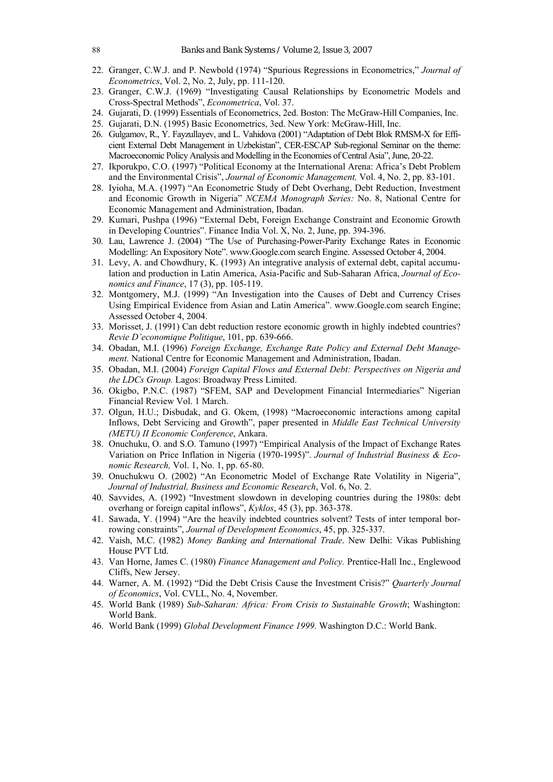- 22. Granger, C.W.J. and P. Newbold (1974) "Spurious Regressions in Econometrics," *Journal of Econometrics*, Vol. 2, No. 2, July, pp. 111-120.
- 23. Granger, C.W.J. (1969) "Investigating Causal Relationships by Econometric Models and Cross-Spectral Methods", *Econometrica*, Vol. 37.
- 24. Gujarati, D. (1999) Essentials of Econometrics, 2ed. Boston: The McGraw-Hill Companies, Inc.
- 25. Gujarati, D.N. (1995) Basic Econometrics, 3ed. New York: McGraw-Hill, Inc.
- 26. Gulgamov, R., Y. Fayzullayev, and L. Vahidova (2001) "Adaptation of Debt Blok RMSM-X for Efficient External Debt Management in Uzbekistan", CER-ESCAP Sub-regional Seminar on the theme: Macroeconomic Policy Analysis and Modelling in the Economies of Central Asia", June, 20-22.
- 27. Ikporukpo, C.O. (1997) "Political Economy at the International Arena: Africa's Debt Problem and the Environmental Crisis", *Journal of Economic Management,* Vol. 4, No. 2, pp. 83-101.
- 28. Iyioha, M.A. (1997) "An Econometric Study of Debt Overhang, Debt Reduction, Investment and Economic Growth in Nigeria" *NCEMA Monograph Series:* No. 8, National Centre for Economic Management and Administration, Ibadan.
- 29. Kumari, Pushpa (1996) "External Debt, Foreign Exchange Constraint and Economic Growth in Developing Countries". Finance India Vol. X, No. 2, June, pp. 394-396.
- 30. Lau, Lawrence J. (2004) "The Use of Purchasing-Power-Parity Exchange Rates in Economic Modelling: An Expository Note". www.Google.com search Engine. Assessed October 4, 2004.
- 31. Levy, A. and Chowdhury, K. (1993) An integrative analysis of external debt, capital accumulation and production in Latin America, Asia-Pacific and Sub-Saharan Africa, *Journal of Economics and Finance*, 17 (3), pp. 105-119.
- 32. Montgomery, M.J. (1999) "An Investigation into the Causes of Debt and Currency Crises Using Empirical Evidence from Asian and Latin America". www.Google.com search Engine; Assessed October 4, 2004.
- 33. Morisset, J. (1991) Can debt reduction restore economic growth in highly indebted countries? *Revie D'economique Politique*, 101, pp. 639-666.
- 34. Obadan, M.I. (1996) *Foreign Exchange, Exchange Rate Policy and External Debt Management.* National Centre for Economic Management and Administration, Ibadan.
- 35. Obadan, M.I. (2004) *Foreign Capital Flows and External Debt: Perspectives on Nigeria and the LDCs Group.* Lagos: Broadway Press Limited.
- 36. Okigbo, P.N.C. (1987) "SFEM, SAP and Development Financial Intermediaries" Nigerian Financial Review Vol. 1 March.
- 37. Olgun, H.U.; Disbudak, and G. Okem, (1998) "Macroeconomic interactions among capital Inflows, Debt Servicing and Growth", paper presented in *Middle East Technical University (METU) II Economic Conference*, Ankara.
- 38. Onuchuku, O. and S.O. Tamuno (1997) "Empirical Analysis of the Impact of Exchange Rates Variation on Price Inflation in Nigeria (1970-1995)". *Journal of Industrial Business & Economic Research,* Vol. 1, No. 1, pp. 65-80.
- 39. Onuchukwu O. (2002) "An Econometric Model of Exchange Rate Volatility in Nigeria", *Journal of Industrial, Business and Economic Research*, Vol. 6, No. 2.
- 40. Savvides, A. (1992) "Investment slowdown in developing countries during the 1980s: debt overhang or foreign capital inflows", *Kyklos*, 45 (3), pp. 363-378.
- 41. Sawada, Y. (1994) "Are the heavily indebted countries solvent? Tests of inter temporal borrowing constraints", *Journal of Development Economics*, 45, pp. 325-337.
- 42. Vaish, M.C. (1982) *Money Banking and International Trade*. New Delhi: Vikas Publishing House PVT Ltd.
- 43. Van Horne, James C. (1980) *Finance Management and Policy.* Prentice-Hall Inc., Englewood Cliffs, New Jersey.
- 44. Warner, A. M. (1992) "Did the Debt Crisis Cause the Investment Crisis?" *Quarterly Journal of Economics*, Vol. CVLL, No. 4, November.
- 45. World Bank (1989) *Sub-Saharan: Africa: From Crisis to Sustainable Growth*; Washington: World Bank.
- 46. World Bank (1999) *Global Development Finance 1999.* Washington D.C.: World Bank.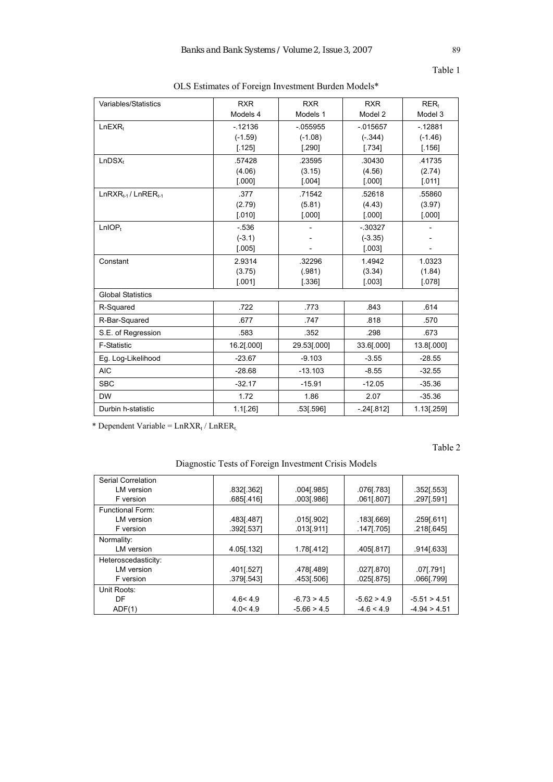Table 1

| Variables/Statistics      | <b>RXR</b>  | <b>RXR</b>  | <b>RXR</b>           | $RER_t$    |  |
|---------------------------|-------------|-------------|----------------------|------------|--|
|                           | Models 4    | Models 1    | Model 2              | Model 3    |  |
| $LnEXR_t$                 | $-12136$    | $-055955$   | $-015657$            | $-12881$   |  |
|                           | $(-1.59)$   | $(-1.08)$   | $(-.344)$            | $(-1.46)$  |  |
|                           | [.125]      | [.290]      | [.734]               | [.156]     |  |
| $LnDSX_t$                 | .57428      | .23595      | .30430               | .41735     |  |
|                           | (4.06)      | (3.15)      | (4.56)               | (2.74)     |  |
|                           | [.000]      | [.004]      | [.000]               | [.011]     |  |
| $LnRXR_{t-1}/LnRER_{t-1}$ | .377        | .71542      | .52618               | .55860     |  |
|                           | (2.79)      | (5.81)      | (4.43)               | (3.97)     |  |
|                           | [.010]      | [.000]      | [.000]               | [.000]     |  |
| $LnIOP_t$                 | $-536$      |             | $-30327$             |            |  |
|                           | $(-3.1)$    |             | $(-3.35)$            |            |  |
|                           | [.005]      |             | [.003]               |            |  |
| Constant                  | 2.9314      | .32296      | 1.4942               | 1.0323     |  |
|                           | (3.75)      | (.981)      | (3.34)               | (1.84)     |  |
|                           | [.001]      | [.336]      | [.003]               | [.078]     |  |
| <b>Global Statistics</b>  |             |             |                      |            |  |
| R-Squared                 | .722        | .773        | .843                 | .614       |  |
| R-Bar-Squared             | .677        | .747        | .818                 | .570       |  |
| S.E. of Regression        | .583        | .352        | .298                 | .673       |  |
| F-Statistic               | 16.2[.000]  | 29.53[.000] | 33.6[.000]           | 13.8[.000] |  |
| Eg. Log-Likelihood        | $-23.67$    | $-9.103$    | $-3.55$              | $-28.55$   |  |
| <b>AIC</b>                | $-28.68$    | $-13.103$   | $-8.55$<br>$-32.55$  |            |  |
| <b>SBC</b>                | $-32.17$    | $-15.91$    | $-12.05$<br>$-35.36$ |            |  |
| <b>DW</b>                 | 1.72        | 1.86        | 2.07                 | $-35.36$   |  |
| Durbin h-statistic        | $1.1$ [.26] | .53[.596]   | $-24$ [.812]         | 1.13[.259] |  |

OLS Estimates of Foreign Investment Burden Models\*

\* Dependent Variable =  $LnRXR_t / LnRER_t$ .

Table 2

| Diagnostic Tests of Foreign Investment Crisis Models |  |  |  |  |  |
|------------------------------------------------------|--|--|--|--|--|
|------------------------------------------------------|--|--|--|--|--|

| Serial Correlation      |               |               |               |                |
|-------------------------|---------------|---------------|---------------|----------------|
| LM version              | .832[.362]    | $.004$ [.985] | .076[.783]    | .352[.553]     |
| F version               | 685 416       | $.003$ [.986] | .061[.807]    | .297[.591]     |
| <b>Functional Form:</b> |               |               |               |                |
| LM version              | .483[.487]    | $.015$ [.902] | .183[.669]    | .259[.611]     |
| F version               | $.392$ [.537] | $.013$ [.911] | .147[.705]    | .218[.645]     |
| Normality:              |               |               |               |                |
| LM version              | 4.05[.132]    | 1.78[.412]    | .405[.817]    | 914[.633]      |
| Heteroscedasticity:     |               |               |               |                |
| <b>LM</b> version       | .401[.527]    | 478[.489]     | .027[.870]    | $.07$ [.791]   |
| F version               | 379 543       | .453[.506]    | $.025$ [.875] | .066[.799]     |
| Unit Roots:             |               |               |               |                |
| DF                      | 4.6 < 4.9     | $-6.73 > 4.5$ | $-5.62 > 4.9$ | $-5.51 > 4.51$ |
| ADF(1)                  | 4.0 < 4.9     | $-5.66 > 4.5$ | $-4.6 < 4.9$  | $-4.94 > 4.51$ |